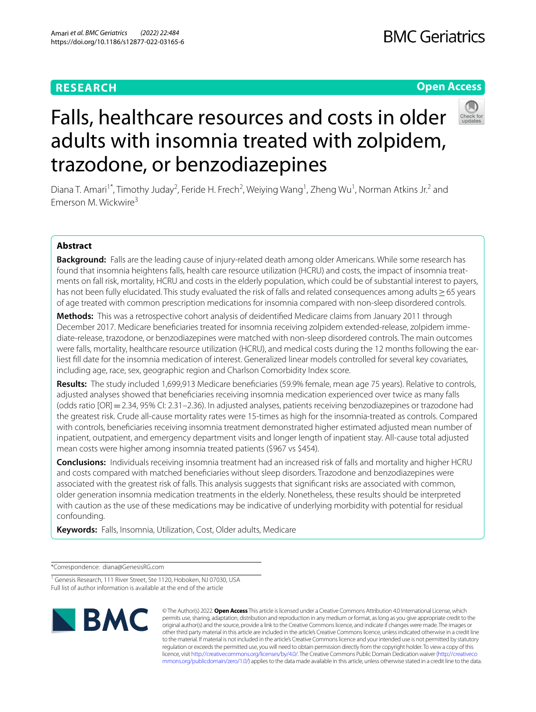## **RESEARCH**

## **Open Access**



# Falls, healthcare resources and costs in older adults with insomnia treated with zolpidem, trazodone, or benzodiazepines

Diana T. Amari<sup>1\*</sup>, Timothy Juday<sup>2</sup>, Feride H. Frech<sup>2</sup>, Weiying Wang<sup>1</sup>, Zheng Wu<sup>1</sup>, Norman Atkins Jr.<sup>2</sup> and Emerson M. Wickwire<sup>3</sup>

## **Abstract**

**Background:** Falls are the leading cause of injury-related death among older Americans. While some research has found that insomnia heightens falls, health care resource utilization (HCRU) and costs, the impact of insomnia treatments on fall risk, mortality, HCRU and costs in the elderly population, which could be of substantial interest to payers, has not been fully elucidated. This study evaluated the risk of falls and related consequences among adults≥65 years of age treated with common prescription medications for insomnia compared with non-sleep disordered controls.

**Methods:** This was a retrospective cohort analysis of deidentifed Medicare claims from January 2011 through December 2017. Medicare benefciaries treated for insomnia receiving zolpidem extended-release, zolpidem immediate-release, trazodone, or benzodiazepines were matched with non-sleep disordered controls. The main outcomes were falls, mortality, healthcare resource utilization (HCRU), and medical costs during the 12 months following the earliest fll date for the insomnia medication of interest. Generalized linear models controlled for several key covariates, including age, race, sex, geographic region and Charlson Comorbidity Index score.

**Results:** The study included 1,699,913 Medicare benefciaries (59.9% female, mean age 75 years). Relative to controls, adjusted analyses showed that benefciaries receiving insomnia medication experienced over twice as many falls (odds ratio [OR]=2.34, 95% CI: 2.31–2.36). In adjusted analyses, patients receiving benzodiazepines or trazodone had the greatest risk. Crude all-cause mortality rates were 15-times as high for the insomnia-treated as controls. Compared with controls, benefciaries receiving insomnia treatment demonstrated higher estimated adjusted mean number of inpatient, outpatient, and emergency department visits and longer length of inpatient stay. All-cause total adjusted mean costs were higher among insomnia treated patients (\$967 vs \$454).

**Conclusions:** Individuals receiving insomnia treatment had an increased risk of falls and mortality and higher HCRU and costs compared with matched benefciaries without sleep disorders. Trazodone and benzodiazepines were associated with the greatest risk of falls. This analysis suggests that signifcant risks are associated with common, older generation insomnia medication treatments in the elderly. Nonetheless, these results should be interpreted with caution as the use of these medications may be indicative of underlying morbidity with potential for residual confounding.

**Keywords:** Falls, Insomnia, Utilization, Cost, Older adults, Medicare

\*Correspondence: diana@GenesisRG.com

<sup>&</sup>lt;sup>1</sup> Genesis Research, 111 River Street, Ste 1120, Hoboken, NJ 07030, USA Full list of author information is available at the end of the article



© The Author(s) 2022. **Open Access** This article is licensed under a Creative Commons Attribution 4.0 International License, which permits use, sharing, adaptation, distribution and reproduction in any medium or format, as long as you give appropriate credit to the original author(s) and the source, provide a link to the Creative Commons licence, and indicate if changes were made. The images or other third party material in this article are included in the article's Creative Commons licence, unless indicated otherwise in a credit line to the material. If material is not included in the article's Creative Commons licence and your intended use is not permitted by statutory regulation or exceeds the permitted use, you will need to obtain permission directly from the copyright holder. To view a copy of this licence, visit [http://creativecommons.org/licenses/by/4.0/.](http://creativecommons.org/licenses/by/4.0/) The Creative Commons Public Domain Dedication waiver ([http://creativeco](http://creativecommons.org/publicdomain/zero/1.0/) [mmons.org/publicdomain/zero/1.0/](http://creativecommons.org/publicdomain/zero/1.0/)) applies to the data made available in this article, unless otherwise stated in a credit line to the data.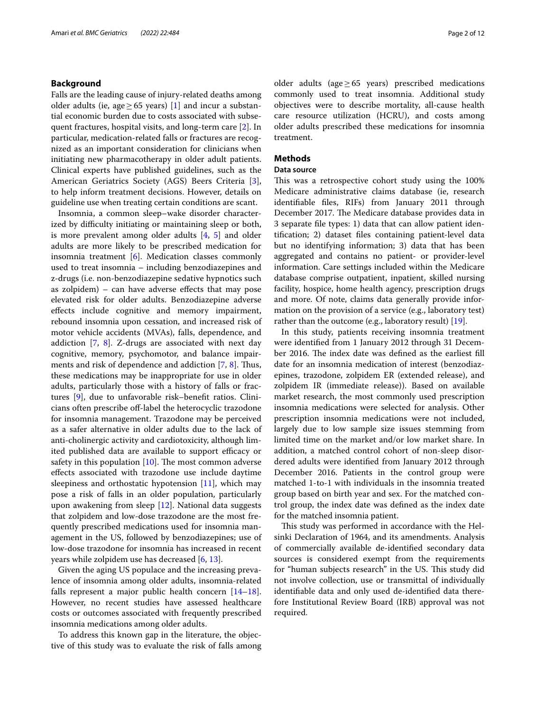## **Background**

Falls are the leading cause of injury-related deaths among older adults (ie, age > 65 years) [[1\]](#page-10-0) and incur a substantial economic burden due to costs associated with subsequent fractures, hospital visits, and long-term care [[2\]](#page-10-1). In particular, medication-related falls or fractures are recognized as an important consideration for clinicians when initiating new pharmacotherapy in older adult patients. Clinical experts have published guidelines, such as the American Geriatrics Society (AGS) Beers Criteria [\[3](#page-10-2)], to help inform treatment decisions. However, details on guideline use when treating certain conditions are scant.

Insomnia, a common sleep–wake disorder characterized by difficulty initiating or maintaining sleep or both, is more prevalent among older adults [\[4,](#page-10-3) [5](#page-10-4)] and older adults are more likely to be prescribed medication for insomnia treatment [[6\]](#page-10-5). Medication classes commonly used to treat insomnia – including benzodiazepines and z-drugs (i.e. non-benzodiazepine sedative hypnotics such as zolpidem) – can have adverse efects that may pose elevated risk for older adults. Benzodiazepine adverse efects include cognitive and memory impairment, rebound insomnia upon cessation, and increased risk of motor vehicle accidents (MVAs), falls, dependence, and addiction  $[7, 8]$  $[7, 8]$  $[7, 8]$ . Z-drugs are associated with next day cognitive, memory, psychomotor, and balance impair-ments and risk of dependence and addiction [\[7](#page-10-6), [8\]](#page-10-7). Thus, these medications may be inappropriate for use in older adults, particularly those with a history of falls or fractures [[9\]](#page-10-8), due to unfavorable risk–beneft ratios. Clinicians often prescribe off-label the heterocyclic trazodone for insomnia management. Trazodone may be perceived as a safer alternative in older adults due to the lack of anti-cholinergic activity and cardiotoxicity, although limited published data are available to support efficacy or safety in this population  $[10]$  $[10]$  $[10]$ . The most common adverse efects associated with trazodone use include daytime sleepiness and orthostatic hypotension [\[11\]](#page-10-10), which may pose a risk of falls in an older population, particularly upon awakening from sleep [[12](#page-10-11)]. National data suggests that zolpidem and low-dose trazodone are the most frequently prescribed medications used for insomnia management in the US, followed by benzodiazepines; use of low-dose trazodone for insomnia has increased in recent years while zolpidem use has decreased [\[6,](#page-10-5) [13](#page-10-12)].

Given the aging US populace and the increasing prevalence of insomnia among older adults, insomnia-related falls represent a major public health concern [[14](#page-10-13)[–18](#page-10-14)]. However, no recent studies have assessed healthcare costs or outcomes associated with frequently prescribed insomnia medications among older adults.

To address this known gap in the literature, the objective of this study was to evaluate the risk of falls among older adults (age $≥65$  years) prescribed medications commonly used to treat insomnia. Additional study objectives were to describe mortality, all-cause health care resource utilization (HCRU), and costs among older adults prescribed these medications for insomnia treatment.

## **Methods**

## **Data source**

This was a retrospective cohort study using the 100% Medicare administrative claims database (ie, research identifable fles, RIFs) from January 2011 through December 2017. The Medicare database provides data in 3 separate fle types: 1) data that can allow patient identifcation; 2) dataset fles containing patient-level data but no identifying information; 3) data that has been aggregated and contains no patient- or provider-level information. Care settings included within the Medicare database comprise outpatient, inpatient, skilled nursing facility, hospice, home health agency, prescription drugs and more. Of note, claims data generally provide information on the provision of a service (e.g., laboratory test) rather than the outcome (e.g., laboratory result) [\[19](#page-10-15)].

In this study, patients receiving insomnia treatment were identifed from 1 January 2012 through 31 December 2016. The index date was defined as the earliest fill date for an insomnia medication of interest (benzodiazepines, trazodone, zolpidem ER (extended release), and zolpidem IR (immediate release)). Based on available market research, the most commonly used prescription insomnia medications were selected for analysis. Other prescription insomnia medications were not included, largely due to low sample size issues stemming from limited time on the market and/or low market share. In addition, a matched control cohort of non-sleep disordered adults were identifed from January 2012 through December 2016. Patients in the control group were matched 1-to-1 with individuals in the insomnia treated group based on birth year and sex. For the matched control group, the index date was defned as the index date for the matched insomnia patient.

This study was performed in accordance with the Helsinki Declaration of 1964, and its amendments. Analysis of commercially available de-identifed secondary data sources is considered exempt from the requirements for "human subjects research" in the US. This study did not involve collection, use or transmittal of individually identifable data and only used de-identifed data therefore Institutional Review Board (IRB) approval was not required.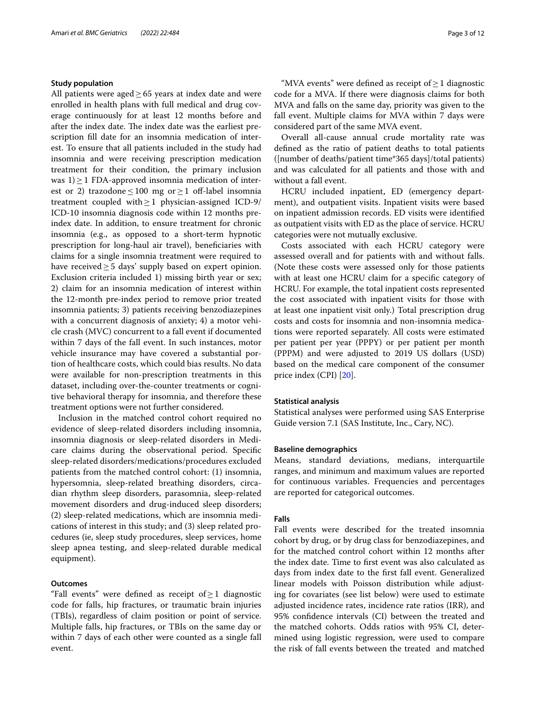## **Study population**

All patients were aged≥65 years at index date and were enrolled in health plans with full medical and drug coverage continuously for at least 12 months before and after the index date. The index date was the earliest prescription fll date for an insomnia medication of interest. To ensure that all patients included in the study had insomnia and were receiving prescription medication treatment for their condition, the primary inclusion was  $1$ ) > 1 FDA-approved insomnia medication of interest or 2) trazodone  $\leq 100$  mg or  $>1$  off-label insomnia treatment coupled with≥1 physician-assigned ICD-9/ ICD-10 insomnia diagnosis code within 12 months preindex date. In addition, to ensure treatment for chronic insomnia (e.g., as opposed to a short-term hypnotic prescription for long-haul air travel), beneficiaries with claims for a single insomnia treatment were required to have received > 5 days' supply based on expert opinion. Exclusion criteria included 1) missing birth year or sex; 2) claim for an insomnia medication of interest within the 12-month pre-index period to remove prior treated insomnia patients; 3) patients receiving benzodiazepines with a concurrent diagnosis of anxiety; 4) a motor vehicle crash (MVC) concurrent to a fall event if documented within 7 days of the fall event. In such instances, motor vehicle insurance may have covered a substantial portion of healthcare costs, which could bias results. No data were available for non-prescription treatments in this dataset, including over-the-counter treatments or cognitive behavioral therapy for insomnia, and therefore these treatment options were not further considered.

Inclusion in the matched control cohort required no evidence of sleep-related disorders including insomnia, insomnia diagnosis or sleep-related disorders in Medicare claims during the observational period. Specifc sleep-related disorders/medications/procedures excluded patients from the matched control cohort: (1) insomnia, hypersomnia, sleep-related breathing disorders, circadian rhythm sleep disorders, parasomnia, sleep-related movement disorders and drug-induced sleep disorders; (2) sleep-related medications, which are insomnia medications of interest in this study; and (3) sleep related procedures (ie, sleep study procedures, sleep services, home sleep apnea testing, and sleep-related durable medical equipment).

## **Outcomes**

"Fall events" were defned as receipt of≥1 diagnostic code for falls, hip fractures, or traumatic brain injuries (TBIs), regardless of claim position or point of service. Multiple falls, hip fractures, or TBIs on the same day or within 7 days of each other were counted as a single fall event.

"MVA events" were defined as receipt of  $\geq 1$  diagnostic code for a MVA. If there were diagnosis claims for both MVA and falls on the same day, priority was given to the fall event. Multiple claims for MVA within 7 days were considered part of the same MVA event.

Overall all-cause annual crude mortality rate was defned as the ratio of patient deaths to total patients ([number of deaths/patient time\*365 days]/total patients) and was calculated for all patients and those with and without a fall event.

HCRU included inpatient, ED (emergency department), and outpatient visits. Inpatient visits were based on inpatient admission records. ED visits were identifed as outpatient visits with ED as the place of service. HCRU categories were not mutually exclusive.

Costs associated with each HCRU category were assessed overall and for patients with and without falls. (Note these costs were assessed only for those patients with at least one HCRU claim for a specifc category of HCRU. For example, the total inpatient costs represented the cost associated with inpatient visits for those with at least one inpatient visit only.) Total prescription drug costs and costs for insomnia and non-insomnia medications were reported separately. All costs were estimated per patient per year (PPPY) or per patient per month (PPPM) and were adjusted to 2019 US dollars (USD) based on the medical care component of the consumer price index (CPI) [\[20\]](#page-10-16).

## **Statistical analysis**

Statistical analyses were performed using SAS Enterprise Guide version 7.1 (SAS Institute, Inc., Cary, NC).

## **Baseline demographics**

Means, standard deviations, medians, interquartile ranges, and minimum and maximum values are reported for continuous variables. Frequencies and percentages are reported for categorical outcomes.

## **Falls**

Fall events were described for the treated insomnia cohort by drug, or by drug class for benzodiazepines, and for the matched control cohort within 12 months after the index date. Time to frst event was also calculated as days from index date to the frst fall event. Generalized linear models with Poisson distribution while adjusting for covariates (see list below) were used to estimate adjusted incidence rates, incidence rate ratios (IRR), and 95% confdence intervals (CI) between the treated and the matched cohorts. Odds ratios with 95% CI, determined using logistic regression, were used to compare the risk of fall events between the treated and matched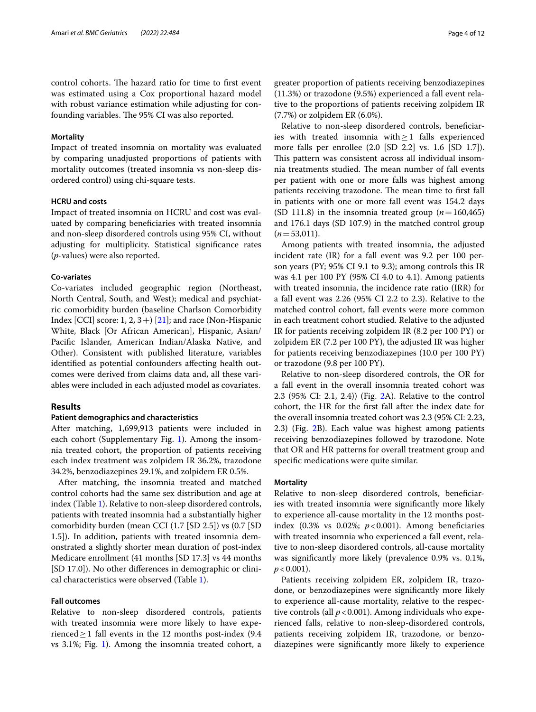control cohorts. The hazard ratio for time to first event was estimated using a Cox proportional hazard model with robust variance estimation while adjusting for confounding variables. The 95% CI was also reported.

### **Mortality**

Impact of treated insomnia on mortality was evaluated by comparing unadjusted proportions of patients with mortality outcomes (treated insomnia vs non-sleep disordered control) using chi-square tests.

## **HCRU and costs**

Impact of treated insomnia on HCRU and cost was evaluated by comparing benefciaries with treated insomnia and non-sleep disordered controls using 95% CI, without adjusting for multiplicity. Statistical signifcance rates (*p*-values) were also reported.

#### **Co‑variates**

Co-variates included geographic region (Northeast, North Central, South, and West); medical and psychiatric comorbidity burden (baseline Charlson Comorbidity Index [CCI] score: 1, 2, 3 +  $[21]$ ; and race (Non-Hispanic White, Black [Or African American], Hispanic, Asian/ Pacifc Islander, American Indian/Alaska Native, and Other). Consistent with published literature, variables identified as potential confounders affecting health outcomes were derived from claims data and, all these variables were included in each adjusted model as covariates.

## **Results**

## **Patient demographics and characteristics**

After matching, 1,699,913 patients were included in each cohort (Supplementary Fig. [1](#page-9-0)). Among the insomnia treated cohort, the proportion of patients receiving each index treatment was zolpidem IR 36.2%, trazodone 34.2%, benzodiazepines 29.1%, and zolpidem ER 0.5%.

After matching, the insomnia treated and matched control cohorts had the same sex distribution and age at index (Table [1\)](#page-4-0). Relative to non-sleep disordered controls, patients with treated insomnia had a substantially higher comorbidity burden (mean CCI (1.7 [SD 2.5]) vs (0.7 [SD 1.5]). In addition, patients with treated insomnia demonstrated a slightly shorter mean duration of post-index Medicare enrollment (41 months [SD 17.3] vs 44 months [SD 17.0]). No other diferences in demographic or clinical characteristics were observed (Table [1](#page-4-0)).

### **Fall outcomes**

Relative to non-sleep disordered controls, patients with treated insomnia were more likely to have experienced  $\geq$  1 fall events in the 12 months post-index (9.4 vs 3.1%; Fig. [1\)](#page-5-0). Among the insomnia treated cohort, a greater proportion of patients receiving benzodiazepines (11.3%) or trazodone (9.5%) experienced a fall event relative to the proportions of patients receiving zolpidem IR (7.7%) or zolpidem ER (6.0%).

Relative to non-sleep disordered controls, benefciaries with treated insomnia with≥1 falls experienced more falls per enrollee (2.0 [SD 2.2] vs. 1.6 [SD 1.7]). This pattern was consistent across all individual insomnia treatments studied. The mean number of fall events per patient with one or more falls was highest among patients receiving trazodone. The mean time to first fall in patients with one or more fall event was 154.2 days (SD 111.8) in the insomnia treated group  $(n=160,465)$ and 176.1 days (SD 107.9) in the matched control group  $(n=53,011)$ .

Among patients with treated insomnia, the adjusted incident rate (IR) for a fall event was 9.2 per 100 person years (PY; 95% CI 9.1 to 9.3); among controls this IR was 4.1 per 100 PY (95% CI 4.0 to 4.1). Among patients with treated insomnia, the incidence rate ratio (IRR) for a fall event was 2.26 (95% CI 2.2 to 2.3). Relative to the matched control cohort, fall events were more common in each treatment cohort studied. Relative to the adjusted IR for patients receiving zolpidem IR (8.2 per 100 PY) or zolpidem ER (7.2 per 100 PY), the adjusted IR was higher for patients receiving benzodiazepines (10.0 per 100 PY) or trazodone (9.8 per 100 PY).

Relative to non-sleep disordered controls, the OR for a fall event in the overall insomnia treated cohort was 2.3 (95% CI: 2.1, 2.4)) (Fig. [2A](#page-6-0)). Relative to the control cohort, the HR for the frst fall after the index date for the overall insomnia treated cohort was 2.3 (95% CI: 2.23, 2.3) (Fig. [2](#page-6-0)B). Each value was highest among patients receiving benzodiazepines followed by trazodone. Note that OR and HR patterns for overall treatment group and specifc medications were quite similar.

#### **Mortality**

Relative to non-sleep disordered controls, benefciaries with treated insomnia were signifcantly more likely to experience all-cause mortality in the 12 months postindex  $(0.3\% \text{ vs } 0.02\%; p<0.001)$ . Among beneficiaries with treated insomnia who experienced a fall event, relative to non-sleep disordered controls, all-cause mortality was signifcantly more likely (prevalence 0.9% vs. 0.1%,  $p < 0.001$ ).

Patients receiving zolpidem ER, zolpidem IR, trazodone, or benzodiazepines were signifcantly more likely to experience all-cause mortality, relative to the respective controls (all  $p < 0.001$ ). Among individuals who experienced falls, relative to non-sleep-disordered controls, patients receiving zolpidem IR, trazodone, or benzodiazepines were signifcantly more likely to experience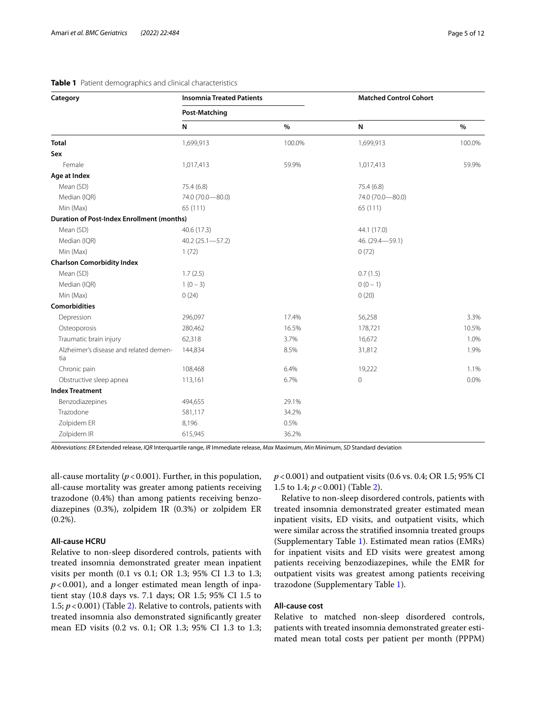## <span id="page-4-0"></span>**Table 1** Patient demographics and clinical characteristics

| Category                                          | <b>Insomnia Treated Patients</b><br><b>Post-Matching</b> |        | <b>Matched Control Cohort</b> |         |
|---------------------------------------------------|----------------------------------------------------------|--------|-------------------------------|---------|
|                                                   |                                                          |        |                               |         |
|                                                   | N                                                        | $\%$   | ${\sf N}$                     | %       |
| <b>Total</b>                                      | 1,699,913                                                | 100.0% | 1,699,913                     | 100.0%  |
| Sex                                               |                                                          |        |                               |         |
| Female                                            | 1,017,413                                                | 59.9%  | 1,017,413                     | 59.9%   |
| Age at Index                                      |                                                          |        |                               |         |
| Mean (SD)                                         | 75.4(6.8)                                                |        | 75.4 (6.8)                    |         |
| Median (IQR)                                      | 74.0 (70.0-80.0)                                         |        | 74.0 (70.0-80.0)              |         |
| Min (Max)                                         | 65 (111)                                                 |        | 65 (111)                      |         |
| <b>Duration of Post-Index Enrollment (months)</b> |                                                          |        |                               |         |
| Mean (SD)                                         | 40.6 (17.3)                                              |        | 44.1 (17.0)                   |         |
| Median (IQR)                                      | $40.2(25.1 - 57.2)$                                      |        | 46. (29.4-59.1)               |         |
| Min (Max)                                         | 1(72)                                                    |        | 0(72)                         |         |
| <b>Charlson Comorbidity Index</b>                 |                                                          |        |                               |         |
| Mean (SD)                                         | 1.7(2.5)                                                 |        | 0.7(1.5)                      |         |
| Median (IQR)                                      | $1(0-3)$                                                 |        | $0(0 - 1)$                    |         |
| Min (Max)                                         | 0(24)                                                    |        | 0(20)                         |         |
| <b>Comorbidities</b>                              |                                                          |        |                               |         |
| Depression                                        | 296,097                                                  | 17.4%  | 56,258                        | 3.3%    |
| Osteoporosis                                      | 280,462                                                  | 16.5%  | 178,721                       | 10.5%   |
| Traumatic brain injury                            | 62,318                                                   | 3.7%   | 16,672                        | 1.0%    |
| Alzheimer's disease and related demen-<br>tia     | 144,834                                                  | 8.5%   | 31,812                        | 1.9%    |
| Chronic pain                                      | 108,468                                                  | 6.4%   | 19,222                        | 1.1%    |
| Obstructive sleep apnea                           | 113,161                                                  | 6.7%   | $\mathbf 0$                   | $0.0\%$ |
| <b>Index Treatment</b>                            |                                                          |        |                               |         |
| Benzodiazepines                                   | 494,655                                                  | 29.1%  |                               |         |
| Trazodone                                         | 581,117                                                  | 34.2%  |                               |         |
| Zolpidem ER                                       | 8,196                                                    | 0.5%   |                               |         |
| Zolpidem IR                                       | 615,945                                                  | 36.2%  |                               |         |

*Abbreviations*: *ER* Extended release, *IQR* Interquartile range, *IR* Immediate release, *Max* Maximum, *Min* Minimum, *SD* Standard deviation

all-cause mortality  $(p < 0.001)$ . Further, in this population, all-cause mortality was greater among patients receiving trazodone (0.4%) than among patients receiving benzodiazepines (0.3%), zolpidem IR (0.3%) or zolpidem ER (0.2%).

## **All‑cause HCRU**

Relative to non-sleep disordered controls, patients with treated insomnia demonstrated greater mean inpatient visits per month (0.1 vs 0.1; OR 1.3; 95% CI 1.3 to 1.3;  $p$ <0.001), and a longer estimated mean length of inpatient stay (10.8 days vs. 7.1 days; OR 1.5; 95% CI 1.5 to 1.5; *p*<0.001) (Table [2](#page-7-0)). Relative to controls, patients with treated insomnia also demonstrated signifcantly greater mean ED visits (0.2 vs. 0.1; OR 1.3; 95% CI 1.3 to 1.3; *p*<0.001) and outpatient visits (0.6 vs. 0.4; OR 1.5; 95% CI 1.5 to 1.4; *p*<0.001) (Table [2\)](#page-7-0).

Relative to non-sleep disordered controls, patients with treated insomnia demonstrated greater estimated mean inpatient visits, ED visits, and outpatient visits, which were similar across the stratifed insomnia treated groups (Supplementary Table [1](#page-9-0)). Estimated mean ratios (EMRs) for inpatient visits and ED visits were greatest among patients receiving benzodiazepines, while the EMR for outpatient visits was greatest among patients receiving trazodone (Supplementary Table [1\)](#page-9-0).

## **All‑cause cost**

Relative to matched non-sleep disordered controls, patients with treated insomnia demonstrated greater estimated mean total costs per patient per month (PPPM)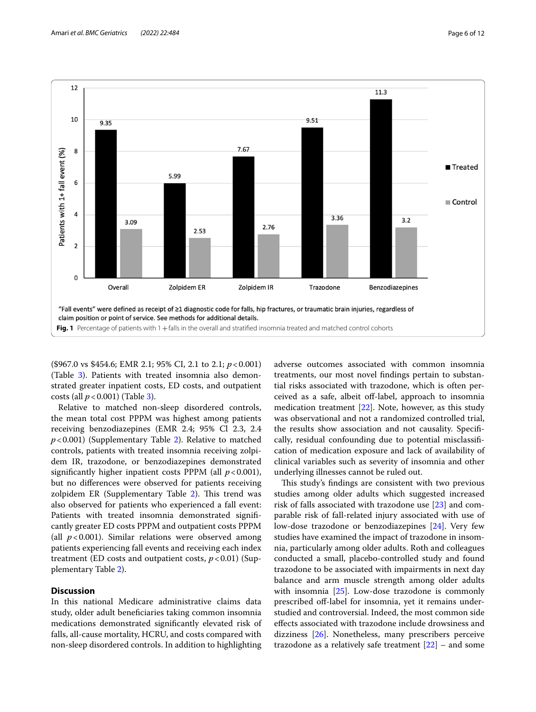



<span id="page-5-0"></span>(\$967.0 vs \$454.6; EMR 2.1; 95% CI, 2.1 to 2.1; *p*<0.001) (Table [3\)](#page-8-0). Patients with treated insomnia also demonstrated greater inpatient costs, ED costs, and outpatient costs (all *p*<0.001) (Table [3\)](#page-8-0).

Relative to matched non-sleep disordered controls, the mean total cost PPPM was highest among patients receiving benzodiazepines (EMR 2.4; 95% Cl 2.3, 2.4 *p*<0.001) (Supplementary Table [2](#page-9-0)). Relative to matched controls, patients with treated insomnia receiving zolpidem IR, trazodone, or benzodiazepines demonstrated significantly higher inpatient costs PPPM (all  $p < 0.001$ ), but no diferences were observed for patients receiving zolpidem ER (Supplementary Table [2\)](#page-9-0). This trend was also observed for patients who experienced a fall event: Patients with treated insomnia demonstrated signifcantly greater ED costs PPPM and outpatient costs PPPM (all  $p < 0.001$ ). Similar relations were observed among patients experiencing fall events and receiving each index treatment (ED costs and outpatient costs,  $p < 0.01$ ) (Supplementary Table [2](#page-9-0)).

## **Discussion**

In this national Medicare administrative claims data study, older adult benefciaries taking common insomnia medications demonstrated signifcantly elevated risk of falls, all-cause mortality, HCRU, and costs compared with non-sleep disordered controls. In addition to highlighting adverse outcomes associated with common insomnia treatments, our most novel fndings pertain to substantial risks associated with trazodone, which is often perceived as a safe, albeit off-label, approach to insomnia medication treatment [\[22](#page-10-18)]. Note, however, as this study was observational and not a randomized controlled trial, the results show association and not causality. Specifcally, residual confounding due to potential misclassifcation of medication exposure and lack of availability of clinical variables such as severity of insomnia and other underlying illnesses cannot be ruled out.

This study's findings are consistent with two previous studies among older adults which suggested increased risk of falls associated with trazodone use [\[23](#page-10-19)] and comparable risk of fall-related injury associated with use of low-dose trazodone or benzodiazepines [[24\]](#page-10-20). Very few studies have examined the impact of trazodone in insomnia, particularly among older adults. Roth and colleagues conducted a small, placebo-controlled study and found trazodone to be associated with impairments in next day balance and arm muscle strength among older adults with insomnia [\[25](#page-10-21)]. Low-dose trazodone is commonly prescribed off-label for insomnia, yet it remains understudied and controversial. Indeed, the most common side efects associated with trazodone include drowsiness and dizziness [[26\]](#page-10-22). Nonetheless, many prescribers perceive trazodone as a relatively safe treatment  $[22]$  $[22]$  $[22]$  – and some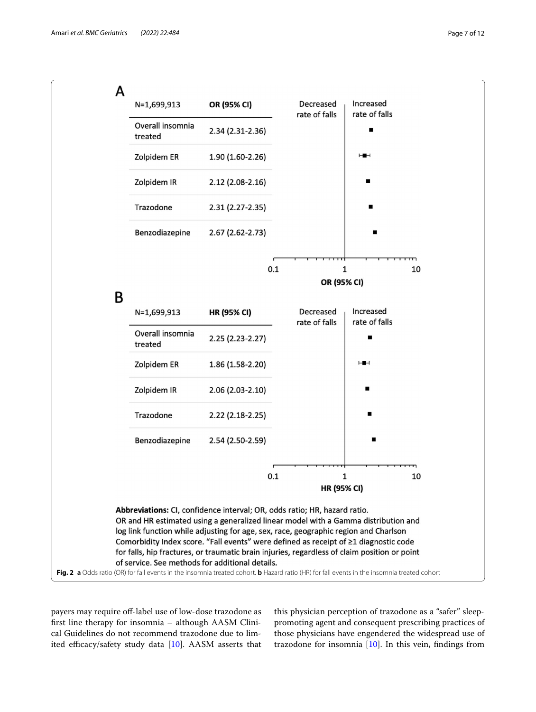

<span id="page-6-0"></span>payers may require of-label use of low-dose trazodone as frst line therapy for insomnia – although AASM Clinical Guidelines do not recommend trazodone due to limited efficacy/safety study data  $[10]$ . AASM asserts that this physician perception of trazodone as a "safer" sleeppromoting agent and consequent prescribing practices of those physicians have engendered the widespread use of trazodone for insomnia  $[10]$  $[10]$ . In this vein, findings from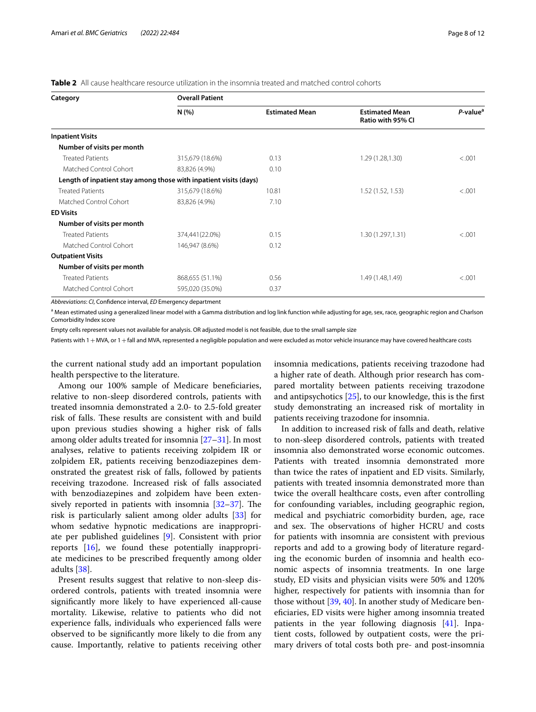<span id="page-7-0"></span>

| Category                                                          | <b>Overall Patient</b> |                       |                                            |                      |  |
|-------------------------------------------------------------------|------------------------|-----------------------|--------------------------------------------|----------------------|--|
|                                                                   | N(%                    | <b>Estimated Mean</b> | <b>Estimated Mean</b><br>Ratio with 95% CI | P-value <sup>a</sup> |  |
| <b>Inpatient Visits</b>                                           |                        |                       |                                            |                      |  |
| Number of visits per month                                        |                        |                       |                                            |                      |  |
| <b>Treated Patients</b>                                           | 315,679 (18.6%)        | 0.13                  | 1.29 (1.28,1.30)                           | < .001               |  |
| Matched Control Cohort                                            | 83,826 (4.9%)          | 0.10                  |                                            |                      |  |
| Length of inpatient stay among those with inpatient visits (days) |                        |                       |                                            |                      |  |
| <b>Treated Patients</b>                                           | 315,679 (18.6%)        | 10.81                 | 1.52(1.52, 1.53)                           | < .001               |  |
| Matched Control Cohort                                            | 83,826 (4.9%)          | 7.10                  |                                            |                      |  |
| <b>ED Visits</b>                                                  |                        |                       |                                            |                      |  |
| Number of visits per month                                        |                        |                       |                                            |                      |  |
| <b>Treated Patients</b>                                           | 374,441(22.0%)         | 0.15                  | 1.30 (1.297,1.31)                          | < .001               |  |
| Matched Control Cohort                                            | 146,947 (8.6%)         | 0.12                  |                                            |                      |  |
| <b>Outpatient Visits</b>                                          |                        |                       |                                            |                      |  |
| Number of visits per month                                        |                        |                       |                                            |                      |  |
| <b>Treated Patients</b>                                           | 868,655 (51.1%)        | 0.56                  | 1.49 (1.48,1.49)                           | < 0.001              |  |
| Matched Control Cohort                                            | 595,020 (35.0%)        | 0.37                  |                                            |                      |  |

*Abbreviations*: *CI*, Confdence interval, *ED* Emergency department

<sup>a</sup> Mean estimated using a generalized linear model with a Gamma distribution and log link function while adjusting for age, sex, race, geographic region and Charlson Comorbidity Index score

Empty cells represent values not available for analysis. OR adjusted model is not feasible, due to the small sample size

Patients with 1 + MVA, or 1 + fall and MVA, represented a negligible population and were excluded as motor vehicle insurance may have covered healthcare costs

the current national study add an important population health perspective to the literature.

Among our 100% sample of Medicare beneficiaries, relative to non-sleep disordered controls, patients with treated insomnia demonstrated a 2.0- to 2.5-fold greater risk of falls. These results are consistent with and build upon previous studies showing a higher risk of falls among older adults treated for insomnia  $[27-31]$  $[27-31]$  $[27-31]$ . In most analyses, relative to patients receiving zolpidem IR or zolpidem ER, patients receiving benzodiazepines demonstrated the greatest risk of falls, followed by patients receiving trazodone. Increased risk of falls associated with benzodiazepines and zolpidem have been extensively reported in patients with insomnia  $[32-37]$  $[32-37]$ . The risk is particularly salient among older adults [\[33\]](#page-11-3) for whom sedative hypnotic medications are inappropriate per published guidelines [\[9](#page-10-8)]. Consistent with prior reports [\[16\]](#page-10-24), we found these potentially inappropriate medicines to be prescribed frequently among older adults [[38\]](#page-11-4).

Present results suggest that relative to non-sleep disordered controls, patients with treated insomnia were signifcantly more likely to have experienced all-cause mortality. Likewise, relative to patients who did not experience falls, individuals who experienced falls were observed to be signifcantly more likely to die from any cause. Importantly, relative to patients receiving other insomnia medications, patients receiving trazodone had a higher rate of death. Although prior research has compared mortality between patients receiving trazodone and antipsychotics [[25](#page-10-21)], to our knowledge, this is the frst study demonstrating an increased risk of mortality in patients receiving trazodone for insomnia.

In addition to increased risk of falls and death, relative to non-sleep disordered controls, patients with treated insomnia also demonstrated worse economic outcomes. Patients with treated insomnia demonstrated more than twice the rates of inpatient and ED visits. Similarly, patients with treated insomnia demonstrated more than twice the overall healthcare costs, even after controlling for confounding variables, including geographic region, medical and psychiatric comorbidity burden, age, race and sex. The observations of higher HCRU and costs for patients with insomnia are consistent with previous reports and add to a growing body of literature regarding the economic burden of insomnia and health economic aspects of insomnia treatments. In one large study, ED visits and physician visits were 50% and 120% higher, respectively for patients with insomnia than for those without [[39,](#page-11-5) [40\]](#page-11-6). In another study of Medicare benefciaries, ED visits were higher among insomnia treated patients in the year following diagnosis [[41\]](#page-11-7). Inpatient costs, followed by outpatient costs, were the primary drivers of total costs both pre- and post-insomnia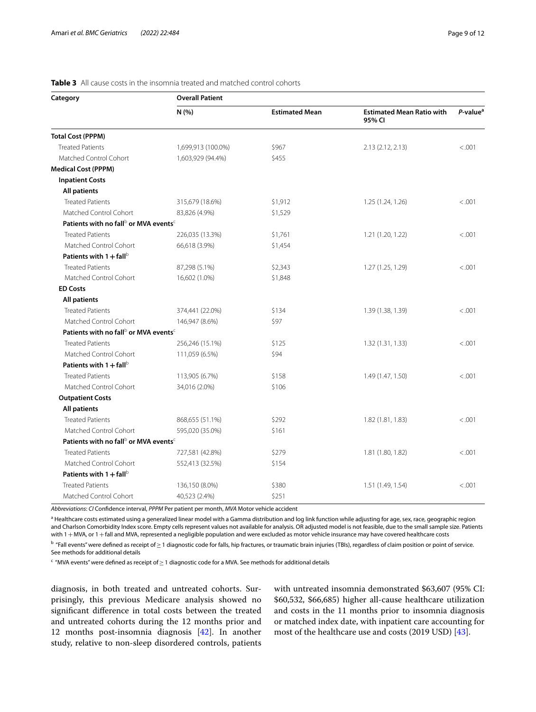| Category                                                      | <b>Overall Patient</b> |                       |                                            |                      |  |  |
|---------------------------------------------------------------|------------------------|-----------------------|--------------------------------------------|----------------------|--|--|
|                                                               | N(% )                  | <b>Estimated Mean</b> | <b>Estimated Mean Ratio with</b><br>95% CI | P-value <sup>a</sup> |  |  |
| <b>Total Cost (PPPM)</b>                                      |                        |                       |                                            |                      |  |  |
| <b>Treated Patients</b>                                       | 1,699,913 (100.0%)     | \$967                 | 2.13(2.12, 2.13)                           | < 0.001              |  |  |
| Matched Control Cohort                                        | 1,603,929 (94.4%)      | \$455                 |                                            |                      |  |  |
| <b>Medical Cost (PPPM)</b>                                    |                        |                       |                                            |                      |  |  |
| <b>Inpatient Costs</b>                                        |                        |                       |                                            |                      |  |  |
| <b>All patients</b>                                           |                        |                       |                                            |                      |  |  |
| <b>Treated Patients</b>                                       | 315,679 (18.6%)        | \$1,912               | 1.25(1.24, 1.26)                           | < 0.001              |  |  |
| Matched Control Cohort                                        | 83,826 (4.9%)          | \$1,529               |                                            |                      |  |  |
| Patients with no fall <sup>b</sup> or MVA events <sup>c</sup> |                        |                       |                                            |                      |  |  |
| <b>Treated Patients</b>                                       | 226,035 (13.3%)        | \$1,761               | 1.21(1.20, 1.22)                           | < 0.001              |  |  |
| Matched Control Cohort                                        | 66,618 (3.9%)          | \$1,454               |                                            |                      |  |  |
| Patients with $1 + \text{fall}^{\text{b}}$                    |                        |                       |                                            |                      |  |  |
| <b>Treated Patients</b>                                       | 87,298 (5.1%)          | \$2,343               | 1.27(1.25, 1.29)                           | < .001               |  |  |
| Matched Control Cohort                                        | 16,602 (1.0%)          | \$1,848               |                                            |                      |  |  |
| <b>ED Costs</b>                                               |                        |                       |                                            |                      |  |  |
| <b>All patients</b>                                           |                        |                       |                                            |                      |  |  |
| <b>Treated Patients</b>                                       | 374,441 (22.0%)        | \$134                 | 1.39 (1.38, 1.39)                          | < .001               |  |  |
| Matched Control Cohort                                        | 146,947 (8.6%)         | \$97                  |                                            |                      |  |  |
| Patients with no fall <sup>b</sup> or MVA events <sup>c</sup> |                        |                       |                                            |                      |  |  |
| <b>Treated Patients</b>                                       | 256,246 (15.1%)        | \$125                 | 1.32(1.31, 1.33)                           | < .001               |  |  |
| Matched Control Cohort                                        | 111,059 (6.5%)         | \$94                  |                                            |                      |  |  |
| Patients with $1 + fall^{\circ}$                              |                        |                       |                                            |                      |  |  |
| <b>Treated Patients</b>                                       | 113,905 (6.7%)         | \$158                 | 1.49 (1.47, 1.50)                          | < .001               |  |  |
| Matched Control Cohort                                        | 34,016 (2.0%)          | \$106                 |                                            |                      |  |  |
| <b>Outpatient Costs</b>                                       |                        |                       |                                            |                      |  |  |
| <b>All patients</b>                                           |                        |                       |                                            |                      |  |  |
| <b>Treated Patients</b>                                       | 868,655 (51.1%)        | \$292                 | 1.82(1.81, 1.83)                           | < .001               |  |  |
| Matched Control Cohort                                        | 595,020 (35.0%)        | \$161                 |                                            |                      |  |  |
| Patients with no fall <sup>b</sup> or MVA events <sup>c</sup> |                        |                       |                                            |                      |  |  |
| <b>Treated Patients</b>                                       | 727,581 (42.8%)        | \$279                 | 1.81 (1.80, 1.82)                          | < 0.001              |  |  |
| Matched Control Cohort                                        | 552,413 (32.5%)        | \$154                 |                                            |                      |  |  |
| Patients with $1 + \text{fall}^{\circ}$                       |                        |                       |                                            |                      |  |  |
| <b>Treated Patients</b>                                       | 136,150 (8.0%)         | \$380                 | 1.51 (1.49, 1.54)                          | < 0.001              |  |  |
| Matched Control Cohort                                        | 40,523 (2.4%)          | \$251                 |                                            |                      |  |  |

## <span id="page-8-0"></span>**Table 3** All cause costs in the insomnia treated and matched control cohorts

*Abbreviations*: *CI* Confdence interval, *PPPM* Per patient per month, *MVA* Motor vehicle accident

<sup>a</sup> Healthcare costs estimated using a generalized linear model with a Gamma distribution and log link function while adjusting for age, sex, race, geographic region and Charlson Comorbidity Index score. Empty cells represent values not available for analysis. OR adjusted model is not feasible, due to the small sample size. Patients with 1 + MVA, or 1 + fall and MVA, represented a negligible population and were excluded as motor vehicle insurance may have covered healthcare costs

 $^{\rm b}$  "Fall events" were defined as receipt of $\geq$  1 diagnostic code for falls, hip fractures, or traumatic brain injuries (TBIs), regardless of claim position or point of service. See methods for additional details

 $^{\mathsf{c}}$  "MVA events" were defined as receipt of $\geq$  1 diagnostic code for a MVA. See methods for additional details

diagnosis, in both treated and untreated cohorts. Surprisingly, this previous Medicare analysis showed no signifcant diference in total costs between the treated and untreated cohorts during the 12 months prior and 12 months post-insomnia diagnosis [\[42](#page-11-8)]. In another study, relative to non-sleep disordered controls, patients

with untreated insomnia demonstrated \$63,607 (95% CI: \$60,532, \$66,685) higher all-cause healthcare utilization and costs in the 11 months prior to insomnia diagnosis or matched index date, with inpatient care accounting for most of the healthcare use and costs (2019 USD) [[43\]](#page-11-9).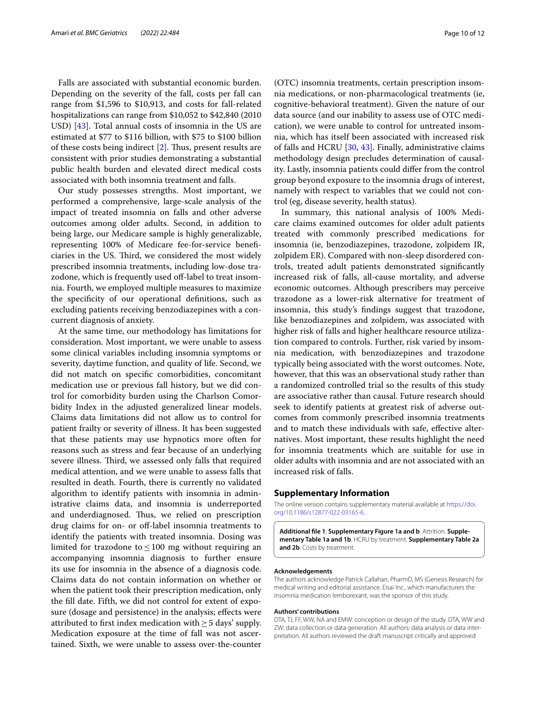Falls are associated with substantial economic burden. Depending on the severity of the fall, costs per fall can range from \$1,596 to \$10,913, and costs for fall-related hospitalizations can range from \$10,052 to \$42,840 (2010 USD) [[43](#page-11-9)]. Total annual costs of insomnia in the US are estimated at \$77 to \$116 billion, with \$75 to \$100 billion of these costs being indirect  $[2]$  $[2]$ . Thus, present results are consistent with prior studies demonstrating a substantial public health burden and elevated direct medical costs associated with both insomnia treatment and falls.

Our study possesses strengths. Most important, we performed a comprehensive, large-scale analysis of the impact of treated insomnia on falls and other adverse outcomes among older adults. Second, in addition to being large, our Medicare sample is highly generalizable, representing 100% of Medicare fee-for-service benefciaries in the US. Third, we considered the most widely prescribed insomnia treatments, including low-dose trazodone, which is frequently used off-label to treat insomnia. Fourth, we employed multiple measures to maximize the specifcity of our operational defnitions, such as excluding patients receiving benzodiazepines with a concurrent diagnosis of anxiety.

At the same time, our methodology has limitations for consideration. Most important, we were unable to assess some clinical variables including insomnia symptoms or severity, daytime function, and quality of life. Second, we did not match on specifc comorbidities, concomitant medication use or previous fall history, but we did control for comorbidity burden using the Charlson Comorbidity Index in the adjusted generalized linear models. Claims data limitations did not allow us to control for patient frailty or severity of illness. It has been suggested that these patients may use hypnotics more often for reasons such as stress and fear because of an underlying severe illness. Third, we assessed only falls that required medical attention, and we were unable to assess falls that resulted in death. Fourth, there is currently no validated algorithm to identify patients with insomnia in administrative claims data, and insomnia is underreported and underdiagnosed. Thus, we relied on prescription drug claims for on- or of-label insomnia treatments to identify the patients with treated insomnia. Dosing was limited for trazodone to  $\leq 100$  mg without requiring an accompanying insomnia diagnosis to further ensure its use for insomnia in the absence of a diagnosis code. Claims data do not contain information on whether or when the patient took their prescription medication, only the fll date. Fifth, we did not control for extent of exposure (dosage and persistence) in the analysis; efects were attributed to first index medication with  $\geq$  5 days' supply. Medication exposure at the time of fall was not ascertained. Sixth, we were unable to assess over-the-counter (OTC) insomnia treatments, certain prescription insomnia medications, or non-pharmacological treatments (ie, cognitive-behavioral treatment). Given the nature of our data source (and our inability to assess use of OTC medication), we were unable to control for untreated insomnia, which has itself been associated with increased risk of falls and HCRU [\[30](#page-10-25), [43](#page-11-9)]. Finally, administrative claims methodology design precludes determination of causality. Lastly, insomnia patients could difer from the control group beyond exposure to the insomnia drugs of interest, namely with respect to variables that we could not control (eg, disease severity, health status).

In summary, this national analysis of 100% Medicare claims examined outcomes for older adult patients treated with commonly prescribed medications for insomnia (ie, benzodiazepines, trazodone, zolpidem IR, zolpidem ER). Compared with non-sleep disordered controls, treated adult patients demonstrated signifcantly increased risk of falls, all-cause mortality, and adverse economic outcomes. Although prescribers may perceive trazodone as a lower-risk alternative for treatment of insomnia, this study's fndings suggest that trazodone, like benzodiazepines and zolpidem, was associated with higher risk of falls and higher healthcare resource utilization compared to controls. Further, risk varied by insomnia medication, with benzodiazepines and trazodone typically being associated with the worst outcomes. Note, however, that this was an observational study rather than a randomized controlled trial so the results of this study are associative rather than causal. Future research should seek to identify patients at greatest risk of adverse outcomes from commonly prescribed insomnia treatments and to match these individuals with safe, efective alternatives. Most important, these results highlight the need for insomnia treatments which are suitable for use in older adults with insomnia and are not associated with an increased risk of falls.

#### **Supplementary Information**

The online version contains supplementary material available at [https://doi.](https://doi.org/10.1186/s12877-022-03165-6) [org/10.1186/s12877-022-03165-6](https://doi.org/10.1186/s12877-022-03165-6).

<span id="page-9-0"></span>**Additional fle 1**: **Supplementary Figure 1a and b**. Attrition. **Supple‑ mentary Table 1a and 1b**. HCRU by treatment. **Supplementary Table 2a and 2b**. Costs by treatment.

#### **Acknowledgements**

The authors acknowledge Patrick Callahan, PharmD, MS (Genesis Research) for medical writing and editorial assistance. Eisai Inc., which manufacturers the insomnia medication lemborexant, was the sponsor of this study.

#### **Authors' contributions**

DTA, TJ, FF, WW, NA and EMW: conception or design of the study. DTA, WW and ZW: data collection or data generation. All authors: data analysis or data interpretation. All authors reviewed the draft manuscript critically and approved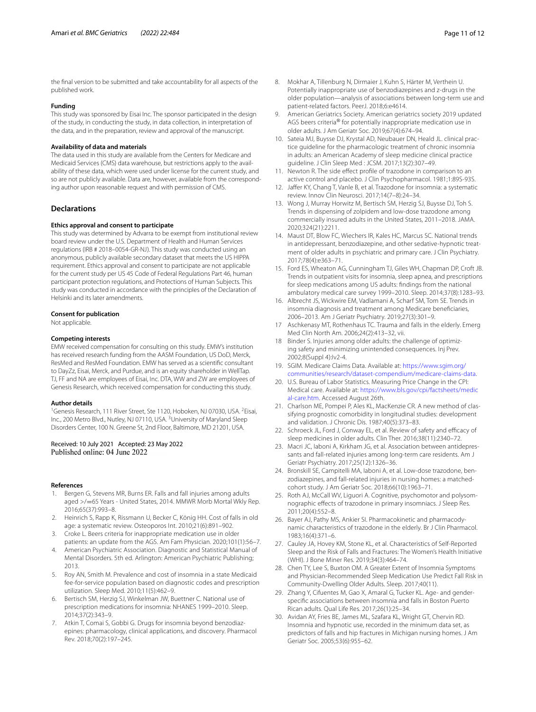the fnal version to be submitted and take accountability for all aspects of the published work.

## **Funding**

This study was sponsored by Eisai Inc. The sponsor participated in the design of the study, in conducting the study, in data collection, in interpretation of the data, and in the preparation, review and approval of the manuscript.

#### **Availability of data and materials**

The data used in this study are available from the Centers for Medicare and Medicaid Services (CMS) data warehouse, but restrictions apply to the availability of these data, which were used under license for the current study, and so are not publicly available. Data are, however, available from the corresponding author upon reasonable request and with permission of CMS.

#### **Declarations**

#### **Ethics approval and consent to participate**

This study was determined by Advarra to be exempt from institutional review board review under the U.S. Department of Health and Human Services regulations (IRB # 2018–0054-GR-NJ). This study was conducted using an anonymous, publicly available secondary dataset that meets the US HIPPA requirement. Ethics approval and consent to participate are not applicable for the current study per US 45 Code of Federal Regulations Part 46, human participant protection regulations, and Protections of Human Subjects. This study was conducted in accordance with the principles of the Declaration of Helsinki and its later amendments.

#### **Consent for publication**

Not applicable.

#### **Competing interests**

EMW received compensation for consulting on this study. EMW's institution has received research funding from the AASM Foundation, US DoD, Merck, ResMed and ResMed Foundation. EMW has served as a scientifc consultant to DayZz, Eisai, Merck, and Purdue, and is an equity shareholder in WellTap. TJ, FF and NA are employees of Eisai, Inc. DTA, WW and ZW are employees of Genesis Research, which received compensation for conducting this study.

#### **Author details**

<sup>1</sup>Genesis Research, 111 River Street, Ste 1120, Hoboken, NJ 07030, USA. <sup>2</sup>Eisai, Inc., 200 Metro Blvd., Nutley, NJ 07110, USA.<sup>3</sup> University of Maryland Sleep Disorders Center, 100 N. Greene St, 2nd Floor, Baltimore, MD 21201, USA.

## Received: 10 July 2021 Accepted: 23 May 2022<br>Published online: 04 June 2022

#### **References**

- <span id="page-10-0"></span>1. Bergen G, Stevens MR, Burns ER. Falls and fall injuries among adults aged >/=65 Years - United States, 2014. MMWR Morb Mortal Wkly Rep. 2016;65(37):993–8.
- <span id="page-10-1"></span>2. Heinrich S, Rapp K, Rissmann U, Becker C, König HH. Cost of falls in old age: a systematic review. Osteoporos Int. 2010;21(6):891–902.
- <span id="page-10-2"></span>3. Croke L. Beers criteria for inappropriate medication use in older patients: an update from the AGS. Am Fam Physician. 2020;101(1):56–7.
- <span id="page-10-3"></span>4. American Psychiatric Association. Diagnostic and Statistical Manual of Mental Disorders. 5th ed. Arlington: American Psychiatric Publishing; 2013.
- <span id="page-10-4"></span>5. Roy AN, Smith M. Prevalence and cost of insomnia in a state Medicaid fee-for-service population based on diagnostic codes and prescription utilization. Sleep Med. 2010;11(5):462–9.
- <span id="page-10-5"></span>6. Bertisch SM, Herzig SJ, Winkelman JW, Buettner C. National use of prescription medications for insomnia: NHANES 1999–2010. Sleep. 2014;37(2):343–9.
- <span id="page-10-6"></span>7. Atkin T, Comai S, Gobbi G. Drugs for insomnia beyond benzodiazepines: pharmacology, clinical applications, and discovery. Pharmacol Rev. 2018;70(2):197–245.
- <span id="page-10-7"></span>8. Mokhar A, Tillenburg N, Dirmaier J, Kuhn S, Härter M, Verthein U. Potentially inappropriate use of benzodiazepines and z-drugs in the older population—analysis of associations between long-term use and patient-related factors. PeerJ. 2018;6:e4614.
- <span id="page-10-8"></span>9. American Geriatrics Society. American geriatrics society 2019 updated AGS beers criteria® for potentially inappropriate medication use in older adults. J Am Geriatr Soc. 2019;67(4):674–94.
- <span id="page-10-9"></span>10. Sateia MJ, Buysse DJ, Krystal AD, Neubauer DN, Heald JL. clinical practice guideline for the pharmacologic treatment of chronic insomnia in adults: an American Academy of sleep medicine clinical practice guideline. J Clin Sleep Med : JCSM. 2017;13(2):307–49.
- <span id="page-10-10"></span>11. Newton R. The side efect profle of trazodone in comparison to an active control and placebo. J Clin Psychopharmacol. 1981;1:89S-93S.
- <span id="page-10-11"></span>12. Jaffer KY, Chang T, Vanle B, et al. Trazodone for insomnia: a systematic review. Innov Clin Neurosci. 2017;14(7–8):24–34.
- <span id="page-10-12"></span>13. Wong J, Murray Horwitz M, Bertisch SM, Herzig SJ, Buysse DJ, Toh S. Trends in dispensing of zolpidem and low-dose trazodone among commercially insured adults in the United States, 2011–2018. JAMA. 2020;324(21):2211.
- <span id="page-10-13"></span>14. Maust DT, Blow FC, Wiechers IR, Kales HC, Marcus SC. National trends in antidepressant, benzodiazepine, and other sedative-hypnotic treatment of older adults in psychiatric and primary care. J Clin Psychiatry. 2017;78(4):e363–71.
- 15. Ford ES, Wheaton AG, Cunningham TJ, Giles WH, Chapman DP, Croft JB. Trends in outpatient visits for insomnia, sleep apnea, and prescriptions for sleep medications among US adults: fndings from the national ambulatory medical care survey 1999–2010. Sleep. 2014;37(8):1283–93.
- <span id="page-10-24"></span>16. Albrecht JS, Wickwire EM, Vadlamani A, Scharf SM, Tom SE. Trends in insomnia diagnosis and treatment among Medicare benefciaries, 2006–2013. Am J Geriatr Psychiatry. 2019;27(3):301–9.
- 17 Aschkenasy MT, Rothenhaus TC. Trauma and falls in the elderly. Emerg Med Clin North Am. 2006;24(2):413–32, vii.
- <span id="page-10-14"></span>18 Binder S. Injuries among older adults: the challenge of optimizing safety and minimizing unintended consequences. Inj Prev. 2002;8(Suppl 4):Iv2-4.
- <span id="page-10-15"></span>19. SGIM. Medicare Claims Data. Available at: [https://www.sgim.org/](https://www.sgim.org/communities/research/dataset-compendium/medicare-claims-data) [communities/research/dataset-compendium/medicare-claims-data.](https://www.sgim.org/communities/research/dataset-compendium/medicare-claims-data)
- <span id="page-10-16"></span>20. U.S. Bureau of Labor Statistics. Measuring Price Change in the CPI: Medical care. Available at: [https://www.bls.gov/cpi/factsheets/medic](https://www.bls.gov/cpi/factsheets/medical-care.htm) [al-care.htm](https://www.bls.gov/cpi/factsheets/medical-care.htm). Accessed August 26th.
- <span id="page-10-17"></span>21. Charlson ME, Pompei P, Ales KL, MacKenzie CR. A new method of classifying prognostic comorbidity in longitudinal studies: development and validation. J Chronic Dis. 1987;40(5):373–83.
- <span id="page-10-18"></span>22. Schroeck JL, Ford J, Conway EL, et al. Review of safety and efficacy of sleep medicines in older adults. Clin Ther. 2016;38(11):2340–72.
- <span id="page-10-19"></span>23. Macri JC, Iaboni A, Kirkham JG, et al. Association between antidepressants and fall-related injuries among long-term care residents. Am J Geriatr Psychiatry. 2017;25(12):1326–36.
- <span id="page-10-20"></span>24. Bronskill SE, Campitelli MA, Iaboni A, et al. Low-dose trazodone, benzodiazepines, and fall-related injuries in nursing homes: a matchedcohort study. J Am Geriatr Soc. 2018;66(10):1963–71.
- <span id="page-10-21"></span>25. Roth AJ, McCall WV, Liguori A. Cognitive, psychomotor and polysomnographic efects of trazodone in primary insomniacs. J Sleep Res. 2011;20(4):552–8.
- <span id="page-10-22"></span>26. Bayer AJ, Pathy MS, Ankier SI. Pharmacokinetic and pharmacodynamic characteristics of trazodone in the elderly. Br J Clin Pharmacol. 1983;16(4):371–6.
- <span id="page-10-23"></span>27. Cauley JA, Hovey KM, Stone KL, et al. Characteristics of Self-Reported Sleep and the Risk of Falls and Fractures: The Women's Health Initiative (WHI). J Bone Miner Res. 2019;34(3):464–74.
- 28. Chen TY, Lee S, Buxton OM. A Greater Extent of Insomnia Symptoms and Physician-Recommended Sleep Medication Use Predict Fall Risk in Community-Dwelling Older Adults. Sleep. 2017;40(11).
- 29. Zhang Y, Cifuentes M, Gao X, Amaral G, Tucker KL. Age- and genderspecifc associations between insomnia and falls in Boston Puerto Rican adults. Qual Life Res. 2017;26(1):25–34.
- <span id="page-10-25"></span>30. Avidan AY, Fries BE, James ML, Szafara KL, Wright GT, Chervin RD. Insomnia and hypnotic use, recorded in the minimum data set, as predictors of falls and hip fractures in Michigan nursing homes. J Am Geriatr Soc. 2005;53(6):955–62.